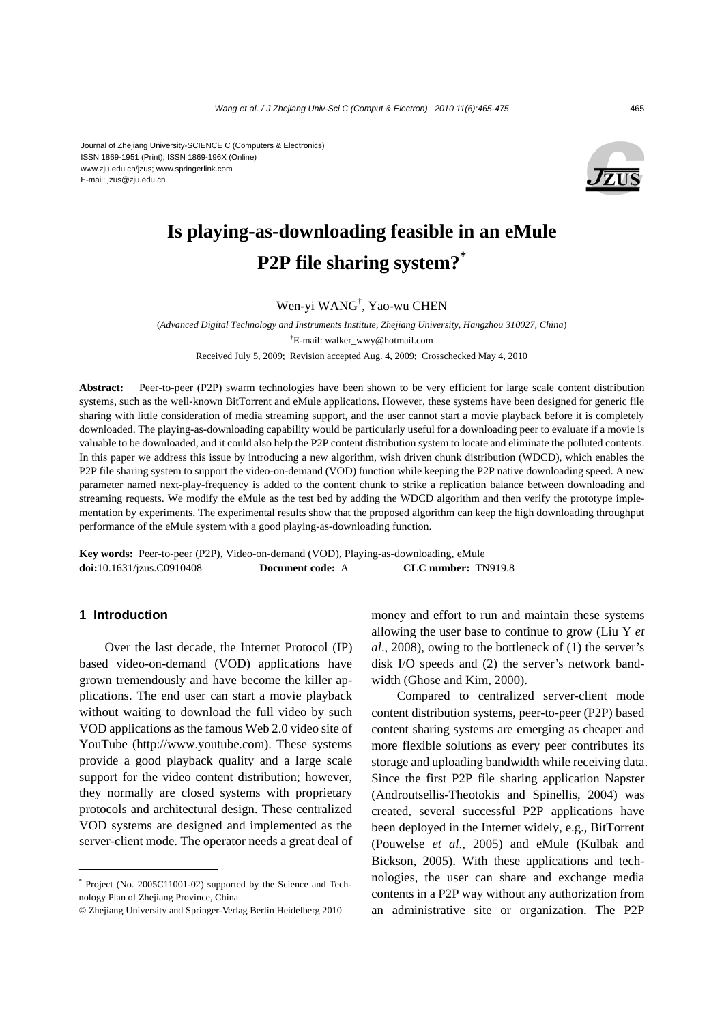

# **Is playing-as-downloading feasible in an eMule P2P file sharing system?\***

## Wen-yi WANG† , Yao-wu CHEN

(*Advanced Digital Technology and Instruments Institute, Zhejiang University, Hangzhou 310027, China*) † E-mail: walker\_wwy@hotmail.com Received July 5, 2009; Revision accepted Aug. 4, 2009; Crosschecked May 4, 2010

**Abstract:** Peer-to-peer (P2P) swarm technologies have been shown to be very efficient for large scale content distribution systems, such as the well-known BitTorrent and eMule applications. However, these systems have been designed for generic file sharing with little consideration of media streaming support, and the user cannot start a movie playback before it is completely downloaded. The playing-as-downloading capability would be particularly useful for a downloading peer to evaluate if a movie is valuable to be downloaded, and it could also help the P2P content distribution system to locate and eliminate the polluted contents. In this paper we address this issue by introducing a new algorithm, wish driven chunk distribution (WDCD), which enables the P2P file sharing system to support the video-on-demand (VOD) function while keeping the P2P native downloading speed. A new parameter named next-play-frequency is added to the content chunk to strike a replication balance between downloading and streaming requests. We modify the eMule as the test bed by adding the WDCD algorithm and then verify the prototype implementation by experiments. The experimental results show that the proposed algorithm can keep the high downloading throughput performance of the eMule system with a good playing-as-downloading function.

**Key words:** Peer-to-peer (P2P), Video-on-demand (VOD), Playing-as-downloading, eMule **doi:**10.1631/jzus.C0910408 **Document code:** A **CLC number:** TN919.8

## **1 Introduction**

Over the last decade, the Internet Protocol (IP) based video-on-demand (VOD) applications have grown tremendously and have become the killer applications. The end user can start a movie playback without waiting to download the full video by such VOD applications as the famous Web 2.0 video site of YouTube (http://www.youtube.com). These systems provide a good playback quality and a large scale support for the video content distribution; however, they normally are closed systems with proprietary protocols and architectural design. These centralized VOD systems are designed and implemented as the server-client mode. The operator needs a great deal of money and effort to run and maintain these systems allowing the user base to continue to grow (Liu Y *et al*., 2008), owing to the bottleneck of (1) the server's disk I/O speeds and (2) the server's network bandwidth (Ghose and Kim, 2000).

Compared to centralized server-client mode content distribution systems, peer-to-peer (P2P) based content sharing systems are emerging as cheaper and more flexible solutions as every peer contributes its storage and uploading bandwidth while receiving data. Since the first P2P file sharing application Napster (Androutsellis-Theotokis and Spinellis, 2004) was created, several successful P2P applications have been deployed in the Internet widely, e.g., BitTorrent (Pouwelse *et al*., 2005) and eMule (Kulbak and Bickson, 2005). With these applications and technologies, the user can share and exchange media contents in a P2P way without any authorization from an administrative site or organization. The P2P

<sup>\*</sup> Project (No. 2005C11001-02) supported by the Science and Technology Plan of Zhejiang Province, China

<sup>©</sup> Zhejiang University and Springer-Verlag Berlin Heidelberg 2010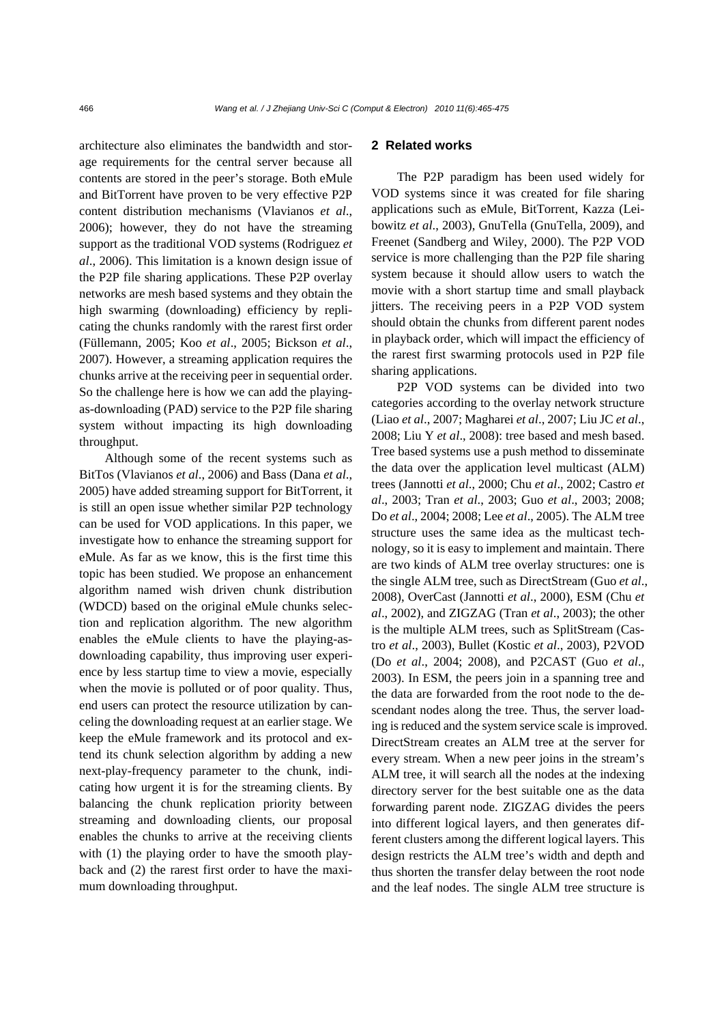architecture also eliminates the bandwidth and storage requirements for the central server because all contents are stored in the peer's storage. Both eMule and BitTorrent have proven to be very effective P2P content distribution mechanisms (Vlavianos *et al*., 2006); however, they do not have the streaming support as the traditional VOD systems (Rodriguez *et al*., 2006). This limitation is a known design issue of the P2P file sharing applications. These P2P overlay networks are mesh based systems and they obtain the high swarming (downloading) efficiency by replicating the chunks randomly with the rarest first order (Füllemann, 2005; Koo *et al*., 2005; Bickson *et al*., 2007). However, a streaming application requires the chunks arrive at the receiving peer in sequential order. So the challenge here is how we can add the playingas-downloading (PAD) service to the P2P file sharing system without impacting its high downloading throughput.

Although some of the recent systems such as BitTos (Vlavianos *et al*., 2006) and Bass (Dana *et al*., 2005) have added streaming support for BitTorrent, it is still an open issue whether similar P2P technology can be used for VOD applications. In this paper, we investigate how to enhance the streaming support for eMule. As far as we know, this is the first time this topic has been studied. We propose an enhancement algorithm named wish driven chunk distribution (WDCD) based on the original eMule chunks selection and replication algorithm. The new algorithm enables the eMule clients to have the playing-asdownloading capability, thus improving user experience by less startup time to view a movie, especially when the movie is polluted or of poor quality. Thus, end users can protect the resource utilization by canceling the downloading request at an earlier stage. We keep the eMule framework and its protocol and extend its chunk selection algorithm by adding a new next-play-frequency parameter to the chunk, indicating how urgent it is for the streaming clients. By balancing the chunk replication priority between streaming and downloading clients, our proposal enables the chunks to arrive at the receiving clients with (1) the playing order to have the smooth playback and (2) the rarest first order to have the maximum downloading throughput.

## **2 Related works**

The P2P paradigm has been used widely for VOD systems since it was created for file sharing applications such as eMule, BitTorrent, Kazza (Leibowitz *et al*., 2003), GnuTella (GnuTella, 2009), and Freenet (Sandberg and Wiley, 2000). The P2P VOD service is more challenging than the P2P file sharing system because it should allow users to watch the movie with a short startup time and small playback jitters. The receiving peers in a P2P VOD system should obtain the chunks from different parent nodes in playback order, which will impact the efficiency of the rarest first swarming protocols used in P2P file sharing applications.

P2P VOD systems can be divided into two categories according to the overlay network structure (Liao *et al*., 2007; Magharei *et al*., 2007; Liu JC *et al*., 2008; Liu Y *et al*., 2008): tree based and mesh based. Tree based systems use a push method to disseminate the data over the application level multicast (ALM) trees (Jannotti *et al*., 2000; Chu *et al*., 2002; Castro *et al*., 2003; Tran *et al*., 2003; Guo *et al*., 2003; 2008; Do *et al*., 2004; 2008; Lee *et al*., 2005). The ALM tree structure uses the same idea as the multicast technology, so it is easy to implement and maintain. There are two kinds of ALM tree overlay structures: one is the single ALM tree, such as DirectStream (Guo *et al*., 2008), OverCast (Jannotti *et al*., 2000), ESM (Chu *et al*., 2002), and ZIGZAG (Tran *et al*., 2003); the other is the multiple ALM trees, such as SplitStream (Castro *et al*., 2003), Bullet (Kostic *et al*., 2003), P2VOD (Do *et al*., 2004; 2008), and P2CAST (Guo *et al*., 2003). In ESM, the peers join in a spanning tree and the data are forwarded from the root node to the descendant nodes along the tree. Thus, the server loading is reduced and the system service scale is improved. DirectStream creates an ALM tree at the server for every stream. When a new peer joins in the stream's ALM tree, it will search all the nodes at the indexing directory server for the best suitable one as the data forwarding parent node. ZIGZAG divides the peers into different logical layers, and then generates different clusters among the different logical layers. This design restricts the ALM tree's width and depth and thus shorten the transfer delay between the root node and the leaf nodes. The single ALM tree structure is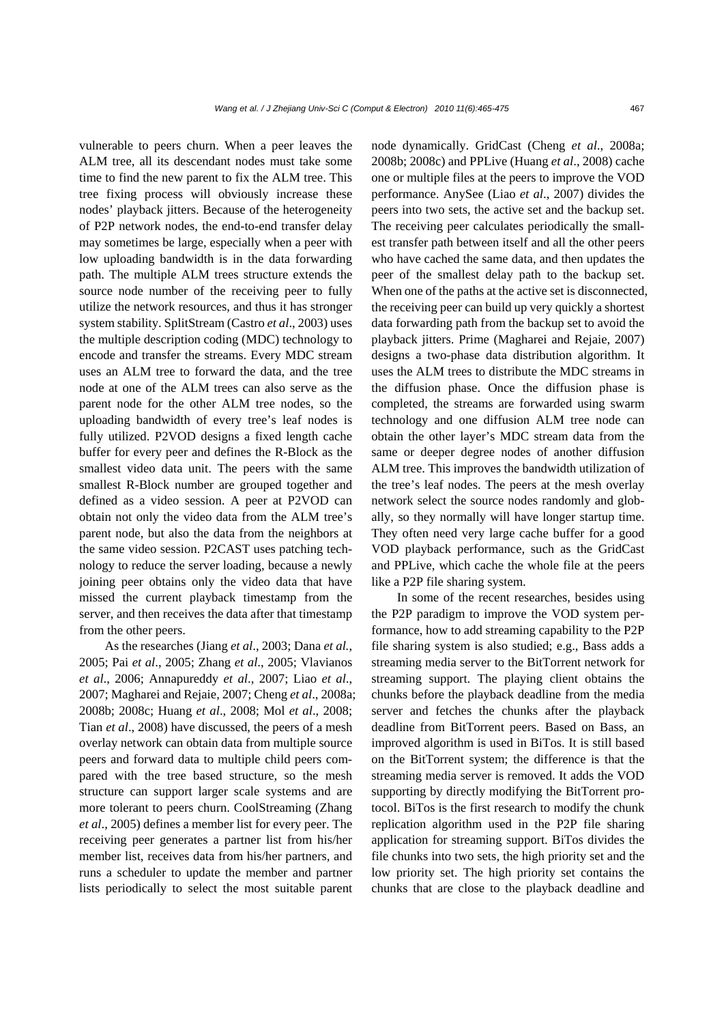vulnerable to peers churn. When a peer leaves the ALM tree, all its descendant nodes must take some time to find the new parent to fix the ALM tree. This tree fixing process will obviously increase these nodes' playback jitters. Because of the heterogeneity of P2P network nodes, the end-to-end transfer delay may sometimes be large, especially when a peer with low uploading bandwidth is in the data forwarding path. The multiple ALM trees structure extends the source node number of the receiving peer to fully utilize the network resources, and thus it has stronger system stability. SplitStream (Castro *et al*., 2003) uses the multiple description coding (MDC) technology to encode and transfer the streams. Every MDC stream uses an ALM tree to forward the data, and the tree node at one of the ALM trees can also serve as the parent node for the other ALM tree nodes, so the uploading bandwidth of every tree's leaf nodes is fully utilized. P2VOD designs a fixed length cache buffer for every peer and defines the R-Block as the smallest video data unit. The peers with the same smallest R-Block number are grouped together and defined as a video session. A peer at P2VOD can obtain not only the video data from the ALM tree's parent node, but also the data from the neighbors at the same video session. P2CAST uses patching technology to reduce the server loading, because a newly joining peer obtains only the video data that have missed the current playback timestamp from the server, and then receives the data after that timestamp from the other peers.

As the researches (Jiang *et al*., 2003; Dana *et al.*, 2005; Pai *et al*., 2005; Zhang *et al*., 2005; Vlavianos *et al*., 2006; Annapureddy *et al*., 2007; Liao *et al*., 2007; Magharei and Rejaie, 2007; Cheng *et al*., 2008a; 2008b; 2008c; Huang *et al*., 2008; Mol *et al*., 2008; Tian *et al*., 2008) have discussed, the peers of a mesh overlay network can obtain data from multiple source peers and forward data to multiple child peers compared with the tree based structure, so the mesh structure can support larger scale systems and are more tolerant to peers churn. CoolStreaming (Zhang *et al*., 2005) defines a member list for every peer. The receiving peer generates a partner list from his/her member list, receives data from his/her partners, and runs a scheduler to update the member and partner lists periodically to select the most suitable parent

node dynamically. GridCast (Cheng *et al*., 2008a; 2008b; 2008c) and PPLive (Huang *et al*., 2008) cache one or multiple files at the peers to improve the VOD performance. AnySee (Liao *et al*., 2007) divides the peers into two sets, the active set and the backup set. The receiving peer calculates periodically the smallest transfer path between itself and all the other peers who have cached the same data, and then updates the peer of the smallest delay path to the backup set. When one of the paths at the active set is disconnected, the receiving peer can build up very quickly a shortest data forwarding path from the backup set to avoid the playback jitters. Prime (Magharei and Rejaie, 2007) designs a two-phase data distribution algorithm. It uses the ALM trees to distribute the MDC streams in the diffusion phase. Once the diffusion phase is completed, the streams are forwarded using swarm technology and one diffusion ALM tree node can obtain the other layer's MDC stream data from the same or deeper degree nodes of another diffusion ALM tree. This improves the bandwidth utilization of the tree's leaf nodes. The peers at the mesh overlay network select the source nodes randomly and globally, so they normally will have longer startup time. They often need very large cache buffer for a good VOD playback performance, such as the GridCast and PPLive, which cache the whole file at the peers like a P2P file sharing system.

In some of the recent researches, besides using the P2P paradigm to improve the VOD system performance, how to add streaming capability to the P2P file sharing system is also studied; e.g., Bass adds a streaming media server to the BitTorrent network for streaming support. The playing client obtains the chunks before the playback deadline from the media server and fetches the chunks after the playback deadline from BitTorrent peers. Based on Bass, an improved algorithm is used in BiTos. It is still based on the BitTorrent system; the difference is that the streaming media server is removed. It adds the VOD supporting by directly modifying the BitTorrent protocol. BiTos is the first research to modify the chunk replication algorithm used in the P2P file sharing application for streaming support. BiTos divides the file chunks into two sets, the high priority set and the low priority set. The high priority set contains the chunks that are close to the playback deadline and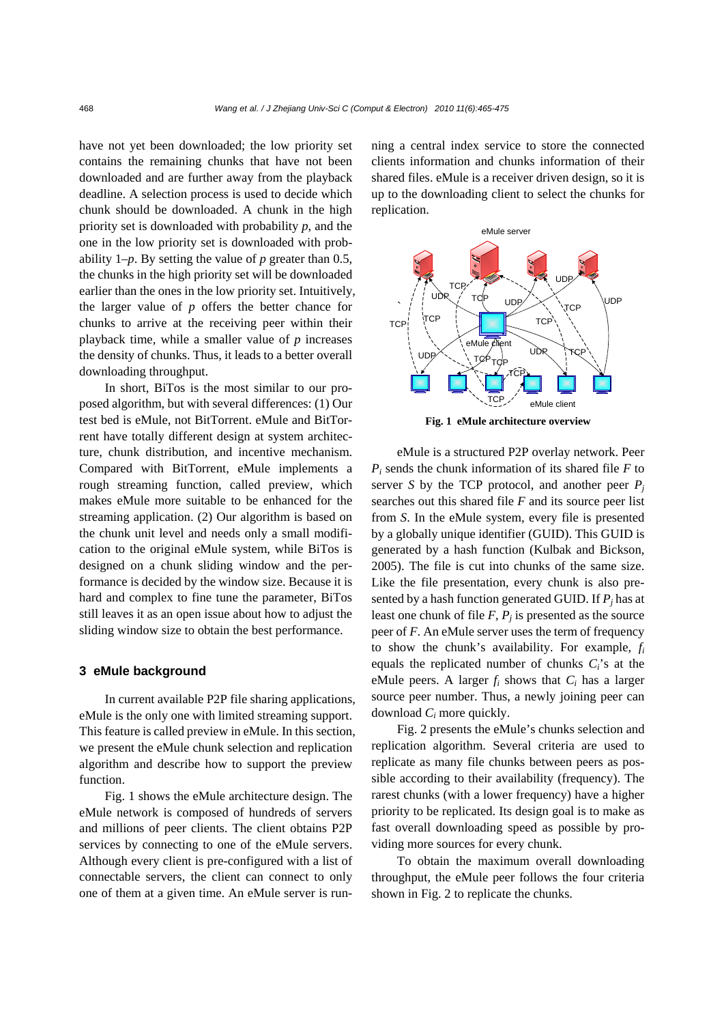have not yet been downloaded; the low priority set contains the remaining chunks that have not been downloaded and are further away from the playback deadline. A selection process is used to decide which chunk should be downloaded. A chunk in the high priority set is downloaded with probability *p*, and the one in the low priority set is downloaded with probability  $1-p$ . By setting the value of *p* greater than 0.5, the chunks in the high priority set will be downloaded earlier than the ones in the low priority set. Intuitively, the larger value of *p* offers the better chance for chunks to arrive at the receiving peer within their playback time, while a smaller value of *p* increases the density of chunks. Thus, it leads to a better overall downloading throughput.

In short, BiTos is the most similar to our proposed algorithm, but with several differences: (1) Our test bed is eMule, not BitTorrent. eMule and BitTorrent have totally different design at system architecture, chunk distribution, and incentive mechanism. Compared with BitTorrent, eMule implements a rough streaming function, called preview, which makes eMule more suitable to be enhanced for the streaming application. (2) Our algorithm is based on the chunk unit level and needs only a small modification to the original eMule system, while BiTos is designed on a chunk sliding window and the performance is decided by the window size. Because it is hard and complex to fine tune the parameter, BiTos still leaves it as an open issue about how to adjust the sliding window size to obtain the best performance.

## **3 eMule background**

In current available P2P file sharing applications, eMule is the only one with limited streaming support. This feature is called preview in eMule. In this section, we present the eMule chunk selection and replication algorithm and describe how to support the preview function.

Fig. 1 shows the eMule architecture design. The eMule network is composed of hundreds of servers and millions of peer clients. The client obtains P2P services by connecting to one of the eMule servers. Although every client is pre-configured with a list of connectable servers, the client can connect to only one of them at a given time. An eMule server is running a central index service to store the connected clients information and chunks information of their shared files. eMule is a receiver driven design, so it is up to the downloading client to select the chunks for replication.



**Fig. 1 eMule architecture overview**

eMule is a structured P2P overlay network. Peer *Pi* sends the chunk information of its shared file *F* to server *S* by the TCP protocol, and another peer  $P_i$ searches out this shared file *F* and its source peer list from *S*. In the eMule system, every file is presented by a globally unique identifier (GUID). This GUID is generated by a hash function (Kulbak and Bickson, 2005). The file is cut into chunks of the same size. Like the file presentation, every chunk is also presented by a hash function generated GUID. If *Pj* has at least one chunk of file  $F$ ,  $P_j$  is presented as the source peer of *F*. An eMule server uses the term of frequency to show the chunk's availability. For example, *fi* equals the replicated number of chunks *Ci*'s at the eMule peers. A larger  $f_i$  shows that  $C_i$  has a larger source peer number. Thus, a newly joining peer can download *Ci* more quickly.

Fig. 2 presents the eMule's chunks selection and replication algorithm. Several criteria are used to replicate as many file chunks between peers as possible according to their availability (frequency). The rarest chunks (with a lower frequency) have a higher priority to be replicated. Its design goal is to make as fast overall downloading speed as possible by providing more sources for every chunk.

To obtain the maximum overall downloading throughput, the eMule peer follows the four criteria shown in Fig. 2 to replicate the chunks.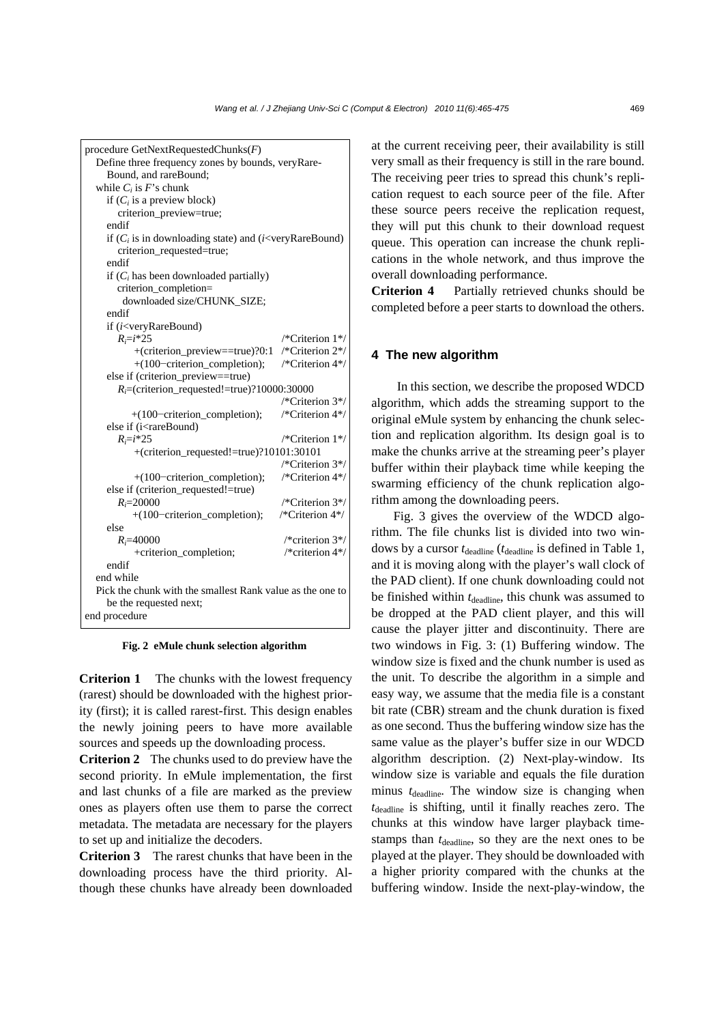| procedure GetNextRequestedChunks $(F)$                                                      |                   |  |
|---------------------------------------------------------------------------------------------|-------------------|--|
| Define three frequency zones by bounds, veryRare-                                           |                   |  |
| Bound, and rareBound;                                                                       |                   |  |
| while $C_i$ is F's chunk                                                                    |                   |  |
| if $(C_i$ is a preview block)                                                               |                   |  |
| criterion_preview=true;                                                                     |                   |  |
| endif                                                                                       |                   |  |
| if $(C_i$ is in downloading state) and ( <i>i</i> <veryrarebound)< td=""></veryrarebound)<> |                   |  |
| criterion_requested=true;                                                                   |                   |  |
| endif                                                                                       |                   |  |
| if $(Ci$ has been downloaded partially)                                                     |                   |  |
| criterion_completion=                                                                       |                   |  |
| downloaded size/CHUNK_SIZE;                                                                 |                   |  |
| endif                                                                                       |                   |  |
| if (i <veryrarebound)< td=""><td></td></veryrarebound)<>                                    |                   |  |
| $R_i = i^*25$                                                                               | /*Criterion $1*/$ |  |
| +(criterion_preview==true)?0:1                                                              | /*Criterion $2*/$ |  |
| +(100-criterion_completion);                                                                | /*Criterion 4*/   |  |
| else if (criterion_preview==true)                                                           |                   |  |
| $R_i$ =(criterion_requested!=true)?10000:30000                                              |                   |  |
|                                                                                             | /*Criterion 3*/   |  |
| +(100-criterion_completion);                                                                | /*Criterion 4*/   |  |
| else if (i <rarebound)< td=""><td></td></rarebound)<>                                       |                   |  |
| $R = i*25$                                                                                  | /*Criterion $1*/$ |  |
| +(criterion_requested!=true)?10101:30101                                                    |                   |  |
|                                                                                             | /*Criterion 3*/   |  |
| +(100-criterion_completion);                                                                | /*Criterion 4*/   |  |
| else if (criterion_requested!=true)                                                         |                   |  |
| $R_i = 20000$                                                                               | /*Criterion 3*/   |  |
| $+(100-criterion\_completion);$                                                             | /*Criterion 4*/   |  |
| else                                                                                        |                   |  |
| $R_i = 40000$                                                                               | /*criterion $3*/$ |  |
| +criterion_completion;                                                                      | /*criterion $4*/$ |  |
| endif                                                                                       |                   |  |
| end while                                                                                   |                   |  |
| Pick the chunk with the smallest Rank value as the one to                                   |                   |  |
| be the requested next;                                                                      |                   |  |
| end procedure                                                                               |                   |  |

**Fig. 2 eMule chunk selection algorithm**

**Criterion 1** The chunks with the lowest frequency (rarest) should be downloaded with the highest priority (first); it is called rarest-first. This design enables the newly joining peers to have more available sources and speeds up the downloading process.

**Criterion 2** The chunks used to do preview have the second priority. In eMule implementation, the first and last chunks of a file are marked as the preview ones as players often use them to parse the correct metadata. The metadata are necessary for the players to set up and initialize the decoders.

**Criterion 3** The rarest chunks that have been in the downloading process have the third priority. Although these chunks have already been downloaded at the current receiving peer, their availability is still very small as their frequency is still in the rare bound. The receiving peer tries to spread this chunk's replication request to each source peer of the file. After these source peers receive the replication request, they will put this chunk to their download request queue. This operation can increase the chunk replications in the whole network, and thus improve the overall downloading performance.

**Criterion 4** Partially retrieved chunks should be completed before a peer starts to download the others.

## **4 The new algorithm**

In this section, we describe the proposed WDCD algorithm, which adds the streaming support to the original eMule system by enhancing the chunk selection and replication algorithm. Its design goal is to make the chunks arrive at the streaming peer's player buffer within their playback time while keeping the swarming efficiency of the chunk replication algorithm among the downloading peers.

Fig. 3 gives the overview of the WDCD algorithm. The file chunks list is divided into two windows by a cursor  $t_{\text{deadline}}$  ( $t_{\text{deadline}}$  is defined in Table 1, and it is moving along with the player's wall clock of the PAD client). If one chunk downloading could not be finished within  $t_{\text{deadline}}$ , this chunk was assumed to be dropped at the PAD client player, and this will cause the player jitter and discontinuity. There are two windows in Fig. 3: (1) Buffering window. The window size is fixed and the chunk number is used as the unit. To describe the algorithm in a simple and easy way, we assume that the media file is a constant bit rate (CBR) stream and the chunk duration is fixed as one second. Thus the buffering window size has the same value as the player's buffer size in our WDCD algorithm description. (2) Next-play-window. Its window size is variable and equals the file duration minus *t*<sub>deadline</sub>. The window size is changing when  $t_{\text{deadline}}$  is shifting, until it finally reaches zero. The chunks at this window have larger playback timestamps than  $t_{\text{deadline}}$ , so they are the next ones to be played at the player. They should be downloaded with a higher priority compared with the chunks at the buffering window. Inside the next-play-window, the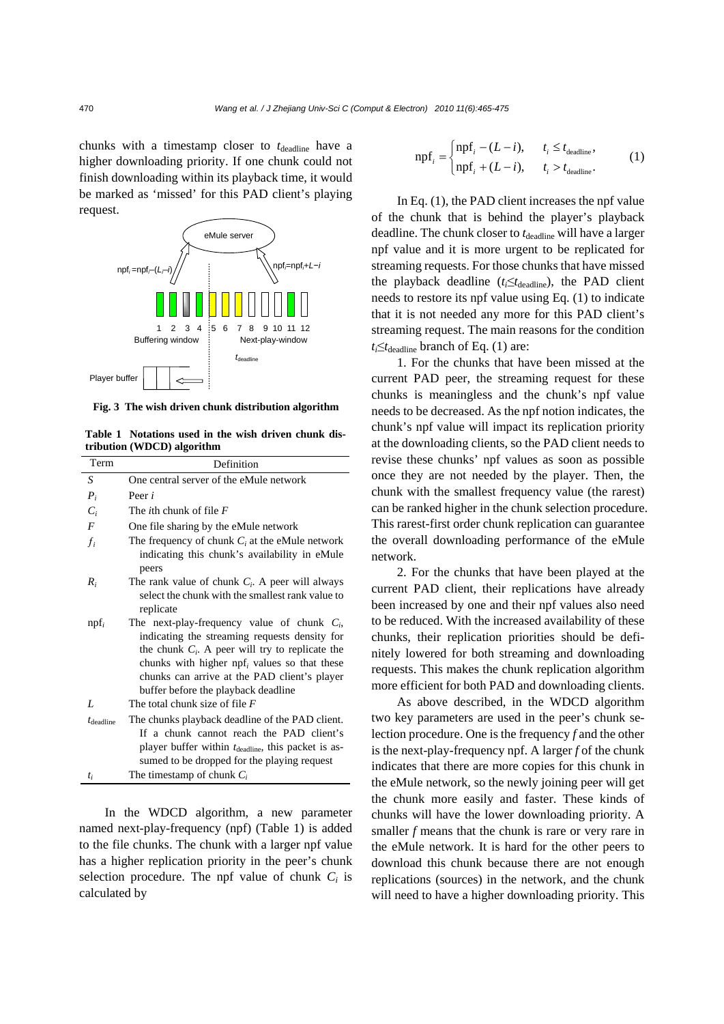chunks with a timestamp closer to  $t_{\text{deadline}}$  have a higher downloading priority. If one chunk could not finish downloading within its playback time, it would be marked as 'missed' for this PAD client's playing request.



**Fig. 3 The wish driven chunk distribution algorithm** 

**Table 1 Notations used in the wish driven chunk distribution (WDCD) algorithm** 

| Term                  | Definition                                                                                                                                                                                                                                                                                               |  |  |
|-----------------------|----------------------------------------------------------------------------------------------------------------------------------------------------------------------------------------------------------------------------------------------------------------------------------------------------------|--|--|
| S                     | One central server of the eMule network                                                                                                                                                                                                                                                                  |  |  |
| $P_i$                 | Peer i                                                                                                                                                                                                                                                                                                   |  |  |
| $C_i$                 | The <i>i</i> th chunk of file $F$                                                                                                                                                                                                                                                                        |  |  |
| F                     | One file sharing by the eMule network                                                                                                                                                                                                                                                                    |  |  |
| $f_i$                 | The frequency of chunk $C_i$ at the eMule network<br>indicating this chunk's availability in eMule<br>peers                                                                                                                                                                                              |  |  |
| $R_i$                 | The rank value of chunk $C_i$ . A peer will always<br>select the chunk with the smallest rank value to<br>replicate                                                                                                                                                                                      |  |  |
| $npf_i$               | The next-play-frequency value of chunk $C_i$ ,<br>indicating the streaming requests density for<br>the chunk $C_i$ . A peer will try to replicate the<br>chunks with higher npf <sub>i</sub> values so that these<br>chunks can arrive at the PAD client's player<br>buffer before the playback deadline |  |  |
| L                     | The total chunk size of file $F$                                                                                                                                                                                                                                                                         |  |  |
| $t_{\text{deadline}}$ | The chunks playback deadline of the PAD client.<br>If a chunk cannot reach the PAD client's<br>player buffer within $t_{\text{deadline}}$ , this packet is as-<br>sumed to be dropped for the playing request                                                                                            |  |  |
| $t_i$                 | The timestamp of chunk $C_i$                                                                                                                                                                                                                                                                             |  |  |

In the WDCD algorithm, a new parameter named next-play-frequency (npf) (Table 1) is added to the file chunks. The chunk with a larger npf value has a higher replication priority in the peer's chunk selection procedure. The npf value of chunk  $C_i$  is calculated by

$$
\text{npf}_i = \begin{cases} \text{npf}_i - (L - i), & t_i \le t_{\text{deadline}}, \\ \text{npf}_i + (L - i), & t_i > t_{\text{deadline}}. \end{cases} \tag{1}
$$

In Eq. (1), the PAD client increases the npf value of the chunk that is behind the player's playback deadline. The chunk closer to *t*<sub>deadline</sub> will have a larger npf value and it is more urgent to be replicated for streaming requests. For those chunks that have missed the playback deadline  $(t_i \leq t_{\text{deadline}})$ , the PAD client needs to restore its npf value using Eq. (1) to indicate that it is not needed any more for this PAD client's streaming request. The main reasons for the condition  $t_i \leq t_{\text{deadline}}$  branch of Eq. (1) are:

1. For the chunks that have been missed at the current PAD peer, the streaming request for these chunks is meaningless and the chunk's npf value needs to be decreased. As the npf notion indicates, the chunk's npf value will impact its replication priority at the downloading clients, so the PAD client needs to revise these chunks' npf values as soon as possible once they are not needed by the player. Then, the chunk with the smallest frequency value (the rarest) can be ranked higher in the chunk selection procedure. This rarest-first order chunk replication can guarantee the overall downloading performance of the eMule network.

2. For the chunks that have been played at the current PAD client, their replications have already been increased by one and their npf values also need to be reduced. With the increased availability of these chunks, their replication priorities should be definitely lowered for both streaming and downloading requests. This makes the chunk replication algorithm more efficient for both PAD and downloading clients.

As above described, in the WDCD algorithm two key parameters are used in the peer's chunk selection procedure. One is the frequency *f* and the other is the next-play-frequency npf. A larger *f* of the chunk indicates that there are more copies for this chunk in the eMule network, so the newly joining peer will get the chunk more easily and faster. These kinds of chunks will have the lower downloading priority. A smaller *f* means that the chunk is rare or very rare in the eMule network. It is hard for the other peers to download this chunk because there are not enough replications (sources) in the network, and the chunk will need to have a higher downloading priority. This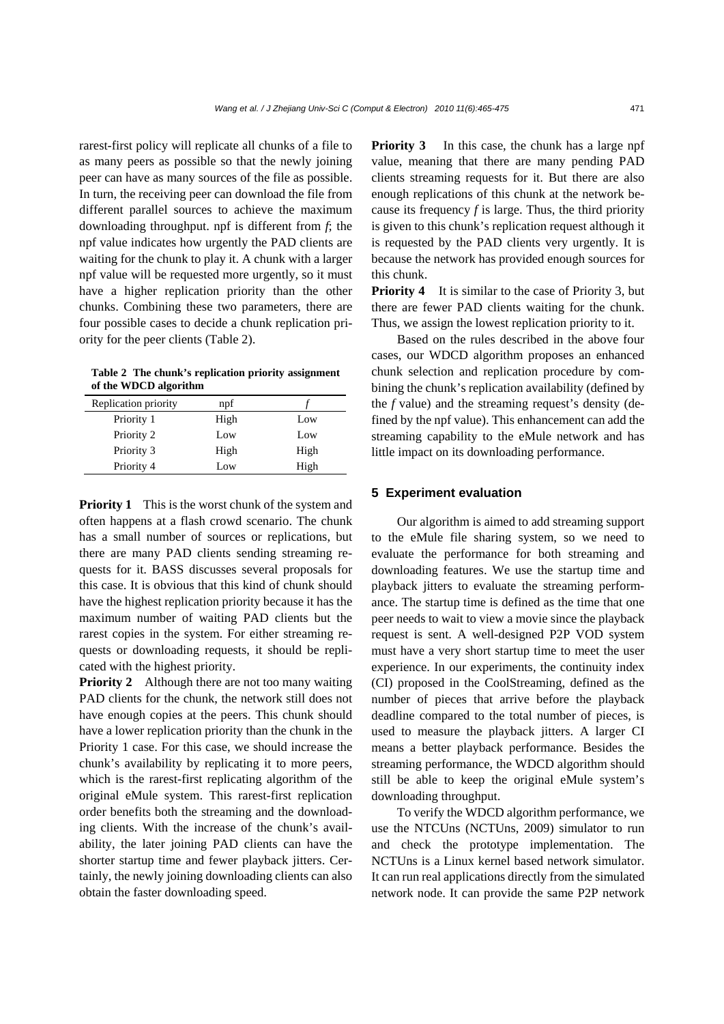rarest-first policy will replicate all chunks of a file to as many peers as possible so that the newly joining peer can have as many sources of the file as possible. In turn, the receiving peer can download the file from different parallel sources to achieve the maximum downloading throughput. npf is different from *f*; the npf value indicates how urgently the PAD clients are waiting for the chunk to play it. A chunk with a larger npf value will be requested more urgently, so it must have a higher replication priority than the other chunks. Combining these two parameters, there are four possible cases to decide a chunk replication priority for the peer clients (Table 2).

**Table 2 The chunk's replication priority assignment of the WDCD algorithm**

| Replication priority | $n$ pf |      |
|----------------------|--------|------|
| Priority 1           | High   | Low  |
| Priority 2           | Low    | Low  |
| Priority 3           | High   | High |
| Priority 4           | Low    | High |

**Priority 1** This is the worst chunk of the system and often happens at a flash crowd scenario. The chunk has a small number of sources or replications, but there are many PAD clients sending streaming requests for it. BASS discusses several proposals for this case. It is obvious that this kind of chunk should have the highest replication priority because it has the maximum number of waiting PAD clients but the rarest copies in the system. For either streaming requests or downloading requests, it should be replicated with the highest priority.

**Priority 2** Although there are not too many waiting PAD clients for the chunk, the network still does not have enough copies at the peers. This chunk should have a lower replication priority than the chunk in the Priority 1 case. For this case, we should increase the chunk's availability by replicating it to more peers, which is the rarest-first replicating algorithm of the original eMule system. This rarest-first replication order benefits both the streaming and the downloading clients. With the increase of the chunk's availability, the later joining PAD clients can have the shorter startup time and fewer playback jitters. Certainly, the newly joining downloading clients can also obtain the faster downloading speed.

**Priority 3** In this case, the chunk has a large npf value, meaning that there are many pending PAD clients streaming requests for it. But there are also enough replications of this chunk at the network because its frequency *f* is large. Thus, the third priority is given to this chunk's replication request although it is requested by the PAD clients very urgently. It is because the network has provided enough sources for this chunk.

**Priority 4** It is similar to the case of Priority 3, but there are fewer PAD clients waiting for the chunk. Thus, we assign the lowest replication priority to it.

Based on the rules described in the above four cases, our WDCD algorithm proposes an enhanced chunk selection and replication procedure by combining the chunk's replication availability (defined by the *f* value) and the streaming request's density (defined by the npf value). This enhancement can add the streaming capability to the eMule network and has little impact on its downloading performance.

#### **5 Experiment evaluation**

Our algorithm is aimed to add streaming support to the eMule file sharing system, so we need to evaluate the performance for both streaming and downloading features. We use the startup time and playback jitters to evaluate the streaming performance. The startup time is defined as the time that one peer needs to wait to view a movie since the playback request is sent. A well-designed P2P VOD system must have a very short startup time to meet the user experience. In our experiments, the continuity index (CI) proposed in the CoolStreaming, defined as the number of pieces that arrive before the playback deadline compared to the total number of pieces, is used to measure the playback jitters. A larger CI means a better playback performance. Besides the streaming performance, the WDCD algorithm should still be able to keep the original eMule system's downloading throughput.

To verify the WDCD algorithm performance, we use the NTCUns (NCTUns, 2009) simulator to run and check the prototype implementation. The NCTUns is a Linux kernel based network simulator. It can run real applications directly from the simulated network node. It can provide the same P2P network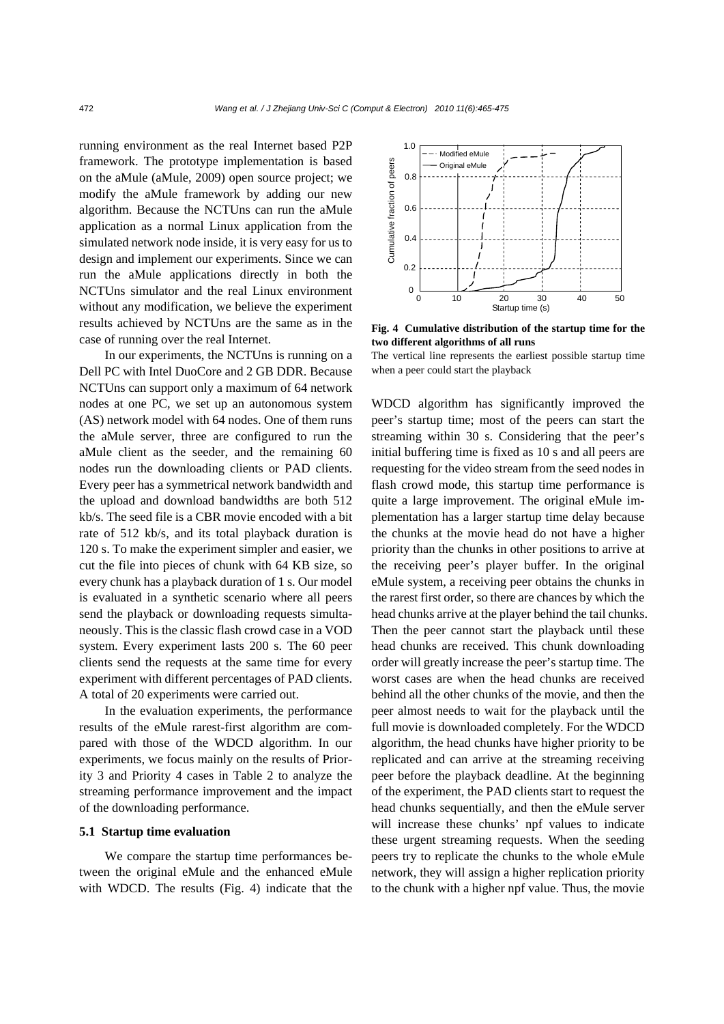running environment as the real Internet based P2P framework. The prototype implementation is based on the aMule (aMule, 2009) open source project; we modify the aMule framework by adding our new algorithm. Because the NCTUns can run the aMule application as a normal Linux application from the simulated network node inside, it is very easy for us to design and implement our experiments. Since we can run the aMule applications directly in both the NCTUns simulator and the real Linux environment without any modification, we believe the experiment results achieved by NCTUns are the same as in the case of running over the real Internet.

In our experiments, the NCTUns is running on a Dell PC with Intel DuoCore and 2 GB DDR. Because NCTUns can support only a maximum of 64 network nodes at one PC, we set up an autonomous system (AS) network model with 64 nodes. One of them runs the aMule server, three are configured to run the aMule client as the seeder, and the remaining 60 nodes run the downloading clients or PAD clients. Every peer has a symmetrical network bandwidth and the upload and download bandwidths are both 512 kb/s. The seed file is a CBR movie encoded with a bit rate of 512 kb/s, and its total playback duration is 120 s. To make the experiment simpler and easier, we cut the file into pieces of chunk with 64 KB size, so every chunk has a playback duration of 1 s. Our model is evaluated in a synthetic scenario where all peers send the playback or downloading requests simultaneously. This is the classic flash crowd case in a VOD system. Every experiment lasts 200 s. The 60 peer clients send the requests at the same time for every experiment with different percentages of PAD clients. A total of 20 experiments were carried out.

In the evaluation experiments, the performance results of the eMule rarest-first algorithm are compared with those of the WDCD algorithm. In our experiments, we focus mainly on the results of Priority 3 and Priority 4 cases in Table 2 to analyze the streaming performance improvement and the impact of the downloading performance.

#### **5.1 Startup time evaluation**

We compare the startup time performances between the original eMule and the enhanced eMule with WDCD. The results (Fig. 4) indicate that the



**Fig. 4 Cumulative distribution of the startup time for the two different algorithms of all runs** 

The vertical line represents the earliest possible startup time when a peer could start the playback

WDCD algorithm has significantly improved the peer's startup time; most of the peers can start the streaming within 30 s. Considering that the peer's initial buffering time is fixed as 10 s and all peers are requesting for the video stream from the seed nodes in flash crowd mode, this startup time performance is quite a large improvement. The original eMule implementation has a larger startup time delay because the chunks at the movie head do not have a higher priority than the chunks in other positions to arrive at the receiving peer's player buffer. In the original eMule system, a receiving peer obtains the chunks in the rarest first order, so there are chances by which the head chunks arrive at the player behind the tail chunks. Then the peer cannot start the playback until these head chunks are received. This chunk downloading order will greatly increase the peer's startup time. The worst cases are when the head chunks are received behind all the other chunks of the movie, and then the peer almost needs to wait for the playback until the full movie is downloaded completely. For the WDCD algorithm, the head chunks have higher priority to be replicated and can arrive at the streaming receiving peer before the playback deadline. At the beginning of the experiment, the PAD clients start to request the head chunks sequentially, and then the eMule server will increase these chunks' npf values to indicate these urgent streaming requests. When the seeding peers try to replicate the chunks to the whole eMule network, they will assign a higher replication priority to the chunk with a higher npf value. Thus, the movie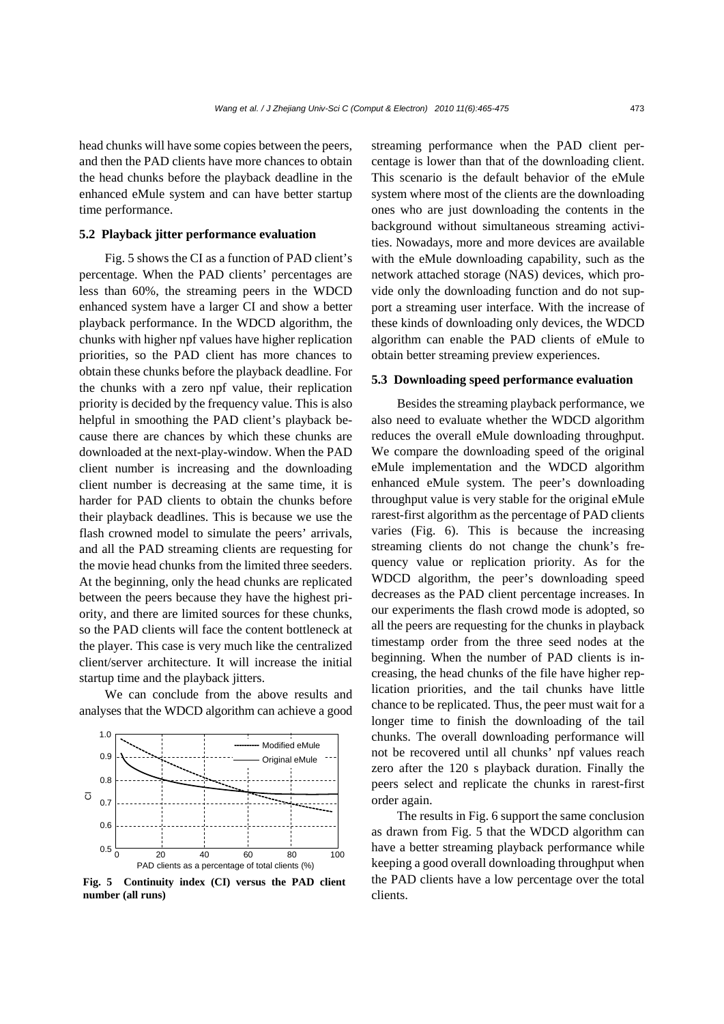head chunks will have some copies between the peers, and then the PAD clients have more chances to obtain the head chunks before the playback deadline in the enhanced eMule system and can have better startup time performance.

## **5.2 Playback jitter performance evaluation**

Fig. 5 shows the CI as a function of PAD client's percentage. When the PAD clients' percentages are less than 60%, the streaming peers in the WDCD enhanced system have a larger CI and show a better playback performance. In the WDCD algorithm, the chunks with higher npf values have higher replication priorities, so the PAD client has more chances to obtain these chunks before the playback deadline. For the chunks with a zero npf value, their replication priority is decided by the frequency value. This is also helpful in smoothing the PAD client's playback because there are chances by which these chunks are downloaded at the next-play-window. When the PAD client number is increasing and the downloading client number is decreasing at the same time, it is harder for PAD clients to obtain the chunks before their playback deadlines. This is because we use the flash crowned model to simulate the peers' arrivals, and all the PAD streaming clients are requesting for the movie head chunks from the limited three seeders. At the beginning, only the head chunks are replicated between the peers because they have the highest priority, and there are limited sources for these chunks, so the PAD clients will face the content bottleneck at the player. This case is very much like the centralized client/server architecture. It will increase the initial startup time and the playback jitters.

We can conclude from the above results and analyses that the WDCD algorithm can achieve a good



**Fig. 5 Continuity index (CI) versus the PAD client number (all runs)**

streaming performance when the PAD client percentage is lower than that of the downloading client. This scenario is the default behavior of the eMule system where most of the clients are the downloading ones who are just downloading the contents in the background without simultaneous streaming activities. Nowadays, more and more devices are available with the eMule downloading capability, such as the network attached storage (NAS) devices, which provide only the downloading function and do not support a streaming user interface. With the increase of these kinds of downloading only devices, the WDCD algorithm can enable the PAD clients of eMule to obtain better streaming preview experiences.

## **5.3 Downloading speed performance evaluation**

Besides the streaming playback performance, we also need to evaluate whether the WDCD algorithm reduces the overall eMule downloading throughput. We compare the downloading speed of the original eMule implementation and the WDCD algorithm enhanced eMule system. The peer's downloading throughput value is very stable for the original eMule rarest-first algorithm as the percentage of PAD clients varies (Fig. 6). This is because the increasing streaming clients do not change the chunk's frequency value or replication priority. As for the WDCD algorithm, the peer's downloading speed decreases as the PAD client percentage increases. In our experiments the flash crowd mode is adopted, so all the peers are requesting for the chunks in playback timestamp order from the three seed nodes at the beginning. When the number of PAD clients is increasing, the head chunks of the file have higher replication priorities, and the tail chunks have little chance to be replicated. Thus, the peer must wait for a longer time to finish the downloading of the tail chunks. The overall downloading performance will not be recovered until all chunks' npf values reach zero after the 120 s playback duration. Finally the peers select and replicate the chunks in rarest-first order again.

The results in Fig. 6 support the same conclusion as drawn from Fig. 5 that the WDCD algorithm can have a better streaming playback performance while keeping a good overall downloading throughput when the PAD clients have a low percentage over the total clients.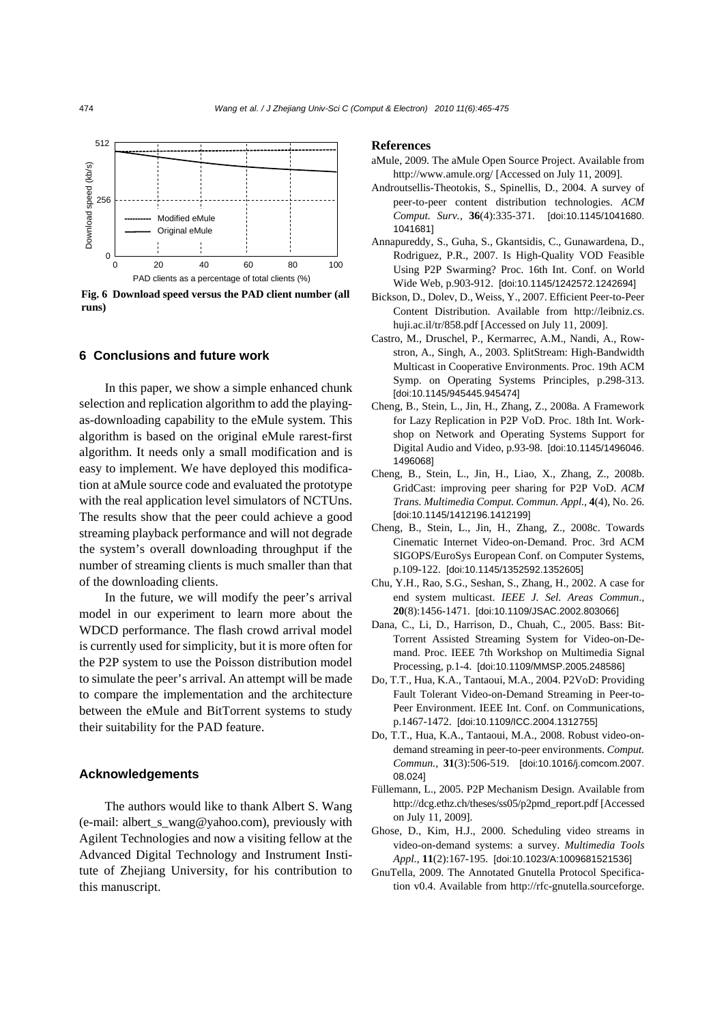

**Fig. 6 Download speed versus the PAD client number (all runs)**

## **6 Conclusions and future work**

In this paper, we show a simple enhanced chunk selection and replication algorithm to add the playingas-downloading capability to the eMule system. This algorithm is based on the original eMule rarest-first algorithm. It needs only a small modification and is easy to implement. We have deployed this modification at aMule source code and evaluated the prototype with the real application level simulators of NCTUns. The results show that the peer could achieve a good streaming playback performance and will not degrade the system's overall downloading throughput if the number of streaming clients is much smaller than that of the downloading clients.

In the future, we will modify the peer's arrival model in our experiment to learn more about the WDCD performance. The flash crowd arrival model is currently used for simplicity, but it is more often for the P2P system to use the Poisson distribution model to simulate the peer's arrival. An attempt will be made to compare the implementation and the architecture between the eMule and BitTorrent systems to study their suitability for the PAD feature.

## **Acknowledgements**

The authors would like to thank Albert S. Wang (e-mail: albert\_s\_wang@yahoo.com), previously with Agilent Technologies and now a visiting fellow at the Advanced Digital Technology and Instrument Institute of Zhejiang University, for his contribution to this manuscript.

#### **References**

- aMule, 2009. The aMule Open Source Project. Available from http://www.amule.org/ [Accessed on July 11, 2009].
- Androutsellis-Theotokis, S., Spinellis, D., 2004. A survey of peer-to-peer content distribution technologies. *ACM Comput. Surv.*, **36**(4):335-371. [doi:10.1145/1041680. 1041681]
- Annapureddy, S., Guha, S., Gkantsidis, C., Gunawardena, D., Rodriguez, P.R., 2007. Is High-Quality VOD Feasible Using P2P Swarming? Proc. 16th Int. Conf. on World Wide Web, p.903-912. [doi:10.1145/1242572.1242694]
- Bickson, D., Dolev, D., Weiss, Y., 2007. Efficient Peer-to-Peer Content Distribution. Available from http://leibniz.cs. huji.ac.il/tr/858.pdf [Accessed on July 11, 2009].
- Castro, M., Druschel, P., Kermarrec, A.M., Nandi, A., Rowstron, A., Singh, A., 2003. SplitStream: High-Bandwidth Multicast in Cooperative Environments. Proc. 19th ACM Symp. on Operating Systems Principles, p.298-313. [doi:10.1145/945445.945474]
- Cheng, B., Stein, L., Jin, H., Zhang, Z., 2008a. A Framework for Lazy Replication in P2P VoD. Proc. 18th Int. Workshop on Network and Operating Systems Support for Digital Audio and Video, p.93-98. [doi:10.1145/1496046. 1496068]
- Cheng, B., Stein, L., Jin, H., Liao, X., Zhang, Z., 2008b. GridCast: improving peer sharing for P2P VoD. *ACM Trans. Multimedia Comput. Commun. Appl.*, **4**(4), No. 26. [doi:10.1145/1412196.1412199]
- Cheng, B., Stein, L., Jin, H., Zhang, Z., 2008c. Towards Cinematic Internet Video-on-Demand. Proc. 3rd ACM SIGOPS/EuroSys European Conf. on Computer Systems, p.109-122. [doi:10.1145/1352592.1352605]
- Chu, Y.H., Rao, S.G., Seshan, S., Zhang, H., 2002. A case for end system multicast. *IEEE J. Sel. Areas Commun*., **20**(8):1456-1471. [doi:10.1109/JSAC.2002.803066]
- Dana, C., Li, D., Harrison, D., Chuah, C., 2005. Bass: Bit-Torrent Assisted Streaming System for Video-on-Demand. Proc. IEEE 7th Workshop on Multimedia Signal Processing, p.1-4. [doi:10.1109/MMSP.2005.248586]
- Do, T.T., Hua, K.A., Tantaoui, M.A., 2004. P2VoD: Providing Fault Tolerant Video-on-Demand Streaming in Peer-to-Peer Environment. IEEE Int. Conf. on Communications, p.1467-1472. [doi:10.1109/ICC.2004.1312755]
- Do, T.T., Hua, K.A., Tantaoui, M.A., 2008. Robust video-ondemand streaming in peer-to-peer environments. *Comput. Commun.*, **31**(3):506-519. [doi:10.1016/j.comcom.2007. 08.024]
- Füllemann, L., 2005. P2P Mechanism Design. Available from http://dcg.ethz.ch/theses/ss05/p2pmd\_report.pdf [Accessed on July 11, 2009].
- Ghose, D., Kim, H.J., 2000. Scheduling video streams in video-on-demand systems: a survey. *Multimedia Tools Appl.*, **11**(2):167-195. [doi:10.1023/A:1009681521536]
- GnuTella, 2009. The Annotated Gnutella Protocol Specification v0.4. Available from http://rfc-gnutella.sourceforge.